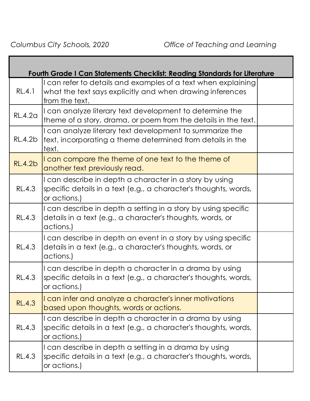|                | <b>Fourth Grade I Can Statements Checklist: Reading Standards for Literature</b>                                                             |  |
|----------------|----------------------------------------------------------------------------------------------------------------------------------------------|--|
| RL.4.1         | I can refer to details and examples of a text when explaining<br>what the text says explicitly and when drawing inferences<br>from the text. |  |
| <b>RL.4.2a</b> | I can analyze literary text development to determine the<br>theme of a story, drama, or poem from the details in the text.                   |  |
| <b>RL.4.2b</b> | I can analyze literary text development to summarize the<br>text, incorporating a theme determined from details in the<br>text.              |  |
| <b>RL.4.2b</b> | I can compare the theme of one text to the theme of<br>another text previously read.                                                         |  |
| <b>RL.4.3</b>  | I can describe in depth a character in a story by using<br>specific details in a text (e.g., a character's thoughts, words,<br>or actions.)  |  |
| <b>RL.4.3</b>  | I can describe in depth a setting in a story by using specific<br>details in a text (e.g., a character's thoughts, words, or<br>actions.)    |  |
| <b>RL.4.3</b>  | I can describe in depth an event in a story by using specific<br>details in a text (e.g., a character's thoughts, words, or<br>actions.)     |  |
| <b>RL.4.3</b>  | I can describe in depth a character in a drama by using<br>specific details in a text (e.g., a character's thoughts, words,<br>or actions.)  |  |
| <b>RL.4.3</b>  | I can infer and analyze a character's inner motivations<br>based upon thoughts, words or actions.                                            |  |
| <b>RL.4.3</b>  | I can describe in depth a character in a drama by using<br>specific details in a text (e.g., a character's thoughts, words,<br>or actions.)  |  |
| RL.4.3         | I can describe in depth a setting in a drama by using<br>specific details in a text (e.g., a character's thoughts, words,<br>or actions.)    |  |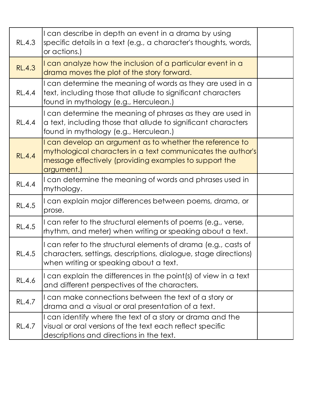| RL.4.3        | I can describe in depth an event in a drama by using<br>specific details in a text (e.g., a character's thoughts, words,<br>or actions.)                                                               |  |
|---------------|--------------------------------------------------------------------------------------------------------------------------------------------------------------------------------------------------------|--|
| <b>RL.4.3</b> | I can analyze how the inclusion of a particular event in a<br>drama moves the plot of the story forward.                                                                                               |  |
| <b>RL.4.4</b> | I can determine the meaning of words as they are used in a<br>text, including those that allude to significant characters<br>found in mythology (e.g., Herculean.)                                     |  |
| <b>RL.4.4</b> | I can determine the meaning of phrases as they are used in<br>a text, including those that allude to significant characters<br>found in mythology (e.g., Herculean.)                                   |  |
| <b>RL.4.4</b> | I can develop an argument as to whether the reference to<br>mythological characters in a text communicates the author's<br>message effectively (providing examples to support the<br><u>argument.)</u> |  |
| <b>RL.4.4</b> | I can determine the meaning of words and phrases used in<br>mythology.                                                                                                                                 |  |
| <b>RL.4.5</b> | I can explain major differences between poems, drama, or<br>prose.                                                                                                                                     |  |
| <b>RL.4.5</b> | I can refer to the structural elements of poems (e.g., verse,<br>rhythm, and meter) when writing or speaking about a text.                                                                             |  |
| RL.4.5        | I can refer to the structural elements of drama (e.g., casts of<br>characters, settings, descriptions, dialogue, stage directions)<br>when writing or speaking about a text.                           |  |
| RL.4.6        | I can explain the differences in the point(s) of view in a text<br>and different perspectives of the characters.                                                                                       |  |
| RL.4.7        | I can make connections between the text of a story or<br>drama and a visual or oral presentation of a text.                                                                                            |  |
| RL.4.7        | I can identify where the text of a story or drama and the<br>visual or oral versions of the text each reflect specific<br>descriptions and directions in the text.                                     |  |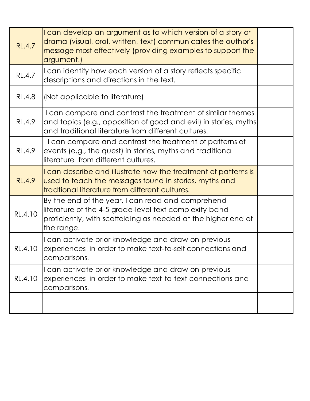| <b>RL.4.7</b> | I can develop an argument as to which version of a story or<br>drama (visual, oral, written, text) communicates the author's<br>message most effectively (providing examples to support the<br>argument.) |  |
|---------------|-----------------------------------------------------------------------------------------------------------------------------------------------------------------------------------------------------------|--|
| <b>RL.4.7</b> | I can identify how each version of a story reflects specific<br>descriptions and directions in the text.                                                                                                  |  |
| <b>RL.4.8</b> | (Not applicable to literature)                                                                                                                                                                            |  |
| RL.4.9        | I can compare and contrast the treatment of similar themes<br>and topics (e.g., opposition of good and evil) in stories, myths<br>and traditional literature from different cultures.                     |  |
| RL.4.9        | I can compare and contrast the treatment of patterns of<br>events (e.g., the quest) in stories, myths and traditional<br>literature from different cultures.                                              |  |
| <b>RL.4.9</b> | I can describe and illustrate how the treatment of patterns is<br>used to teach the messages found in stories, myths and<br>tradtional literature from different cultures.                                |  |
| RL.4.10       | By the end of the year, I can read and comprehend<br>literature of the 4-5 grade-level text complexity band<br>proficiently, with scaffolding as needed at the higher end of<br>the range.                |  |
| RL.4.10       | I can activate prior knowledge and draw on previous<br>experiences in order to make text-to-self connections and<br>comparisons.                                                                          |  |
| RL.4.10       | I can activate prior knowledge and draw on previous<br>experiences in order to make text-to-text connections and<br>comparisons.                                                                          |  |
|               |                                                                                                                                                                                                           |  |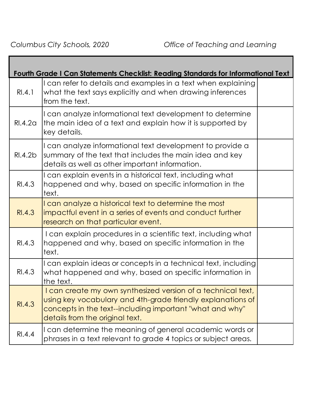|                     | Fourth Grade I Can Statements Checklist: Reading Standards for Informational Text                                                                                                                                          |  |
|---------------------|----------------------------------------------------------------------------------------------------------------------------------------------------------------------------------------------------------------------------|--|
| RI.4.1              | I can refer to details and examples in a text when explaining<br>what the text says explicitly and when drawing inferences<br>from the text.                                                                               |  |
| RI.4.2 <sub>G</sub> | I can analyze informational text development to determine<br>the main idea of a text and explain how it is supported by<br>key details.                                                                                    |  |
| RI.4.2b             | I can analyze informational text development to provide a<br>summary of the text that includes the main idea and key<br>details as well as other important information.                                                    |  |
| RI.4.3              | I can explain events in a historical text, including what<br>happened and why, based on specific information in the<br>text.                                                                                               |  |
| RI.4.3              | I can analyze a historical text to determine the most<br>impactful event in a series of events and conduct further<br>research on that particular event.                                                                   |  |
| RI.4.3              | I can explain procedures in a scientific text, including what<br>happened and why, based on specific information in the<br>text.                                                                                           |  |
| RI.4.3              | I can explain ideas or concepts in a technical text, including<br>what happened and why, based on specific information in<br>the text.                                                                                     |  |
| RI.4.3              | I can create my own synthesized version of a technical text,<br>using key vocabulary and 4th-grade friendly explanations of<br>concepts in the text--including important "what and why"<br>details from the original text. |  |
| RI.4.4              | I can determine the meaning of general academic words or<br>phrases in a text relevant to grade 4 topics or subject areas.                                                                                                 |  |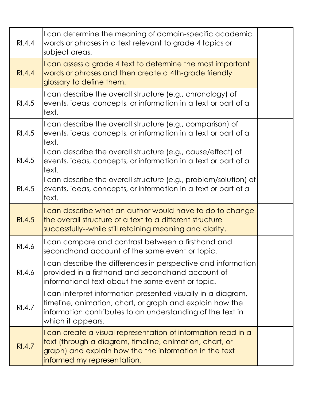| RI.4.4 | I can determine the meaning of domain-specific academic<br>words or phrases in a text relevant to grade 4 topics or<br>subject areas.                                                                             |  |
|--------|-------------------------------------------------------------------------------------------------------------------------------------------------------------------------------------------------------------------|--|
| RI.4.4 | I can assess a grade 4 text to determine the most important<br>words or phrases and then create a 4th-grade friendly<br>glossary to define them.                                                                  |  |
| RI.4.5 | I can describe the overall structure (e.g., chronology) of<br>events, ideas, concepts, or information in a text or part of a<br>text.                                                                             |  |
| RI.4.5 | I can describe the overall structure (e.g., comparison) of<br>events, ideas, concepts, or information in a text or part of a<br>text.                                                                             |  |
| RI.4.5 | I can describe the overall structure (e.g., cause/effect) of<br>events, ideas, concepts, or information in a text or part of a<br>text.                                                                           |  |
| RI.4.5 | I can describe the overall structure (e.g., problem/solution) of<br>events, ideas, concepts, or information in a text or part of a<br>text.                                                                       |  |
| RI.4.5 | I can describe what an author would have to do to change<br>the overall structure of a text to a different structure<br>successfully--while still retaining meaning and clarity.                                  |  |
| RI.4.6 | I can compare and contrast between a firsthand and<br>secondhand account of the same event or topic.                                                                                                              |  |
| RI.4.6 | I can describe the differences in perspective and information<br>provided in a firsthand and secondhand account of<br>informational text about the same event or topic.                                           |  |
| RI.4.7 | I can interpret information presented visually in a diagram,<br>timeline, animation, chart, or graph and explain how the<br>information contributes to an understanding of the text in<br>which it appears.       |  |
| RI.4.7 | I can create a visual representation of information read in a<br>text (through a diagram, timeline, animation, chart, or<br>graph) and explain how the the information in the text<br>informed my representation. |  |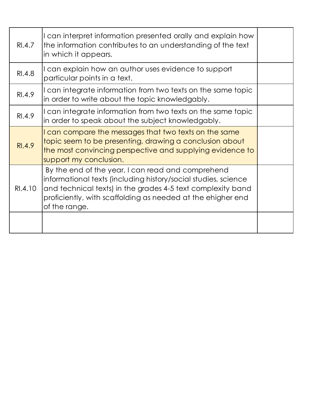| RI.4.7        | I can interpret information presented orally and explain how<br>the information contributes to an understanding of the text<br>in which it appears.                                                                                                                |  |
|---------------|--------------------------------------------------------------------------------------------------------------------------------------------------------------------------------------------------------------------------------------------------------------------|--|
| <b>RI.4.8</b> | I can explain how an author uses evidence to support<br>particular points in a text.                                                                                                                                                                               |  |
| RI.4.9        | I can integrate information from two texts on the same topic<br>in order to write about the topic knowledgably.                                                                                                                                                    |  |
| RI.4.9        | I can integrate information from two texts on the same topic<br>in order to speak about the subject knowledgably.                                                                                                                                                  |  |
| RI.4.9        | I can compare the messages that two texts on the same<br>topic seem to be presenting, drawing a conclusion about<br>the most convincing perspective and supplying evidence to<br>support my conclusion.                                                            |  |
| RI.4.10       | By the end of the year, I can read and comprehend<br>informational texts (including history/social studies, science<br>and technical texts) in the grades 4-5 text complexity band<br>proficiently, with scaffolding as needed at the ehigher end<br>of the range. |  |
|               |                                                                                                                                                                                                                                                                    |  |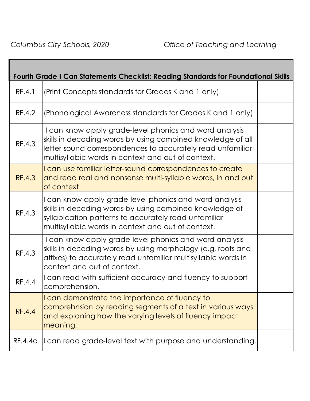Г

|               | <b>Fourth Grade I Can Statements Checklist: Reading Standards for Foundational Skills</b>                                                                                                                                                 |  |
|---------------|-------------------------------------------------------------------------------------------------------------------------------------------------------------------------------------------------------------------------------------------|--|
| RF.4.1        | (Print Concepts standards for Grades K and 1 only)                                                                                                                                                                                        |  |
| RF.4.2        | (Phonological Awareness standards for Grades K and 1 only)                                                                                                                                                                                |  |
| RF.4.3        | I can know apply grade-level phonics and word analysis<br>skills in decoding words by using combined knowledge of all<br>letter-sound correspondences to accurately read unfamiliar<br>multisyllabic words in context and out of context. |  |
| <b>RF.4.3</b> | I can use familiar letter-sound correspondences to create<br>and read real and nonsense multi-syllable words, in and out<br>of context.                                                                                                   |  |
| RF.4.3        | I can know apply grade-level phonics and word analysis<br>skills in decoding words by using combined knowledge of<br>syllabication patterns to accurately read unfamiliar<br>multisyllabic words in context and out of context.           |  |
| RF.4.3        | I can know apply grade-level phonics and word analysis<br>skills in decoding words by using morphology (e.g, roots and<br>affixes) to accurately read unfamiliar multisyllabic words in<br>context and out of context.                    |  |
| RF.4.4        | I can read with sufficient accuracy and fluency to support<br>comprehension.                                                                                                                                                              |  |
| <b>RF.4.4</b> | I can demonstrate the importance of fluency to<br>comprehnsion by reading segments of a text in various ways<br>and explaning how the varying levels of fluency impact<br>meaning.                                                        |  |
| RF.4.4a       | I can read grade-level text with purpose and understanding.                                                                                                                                                                               |  |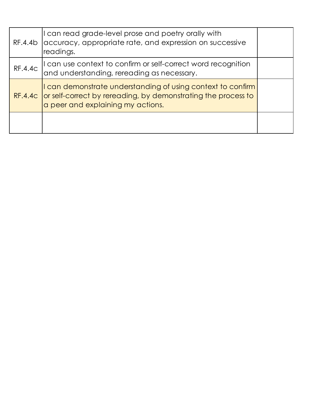| RF.4.4b        | I can read grade-level prose and poetry orally with<br>accuracy, appropriate rate, and expression on successive<br>readings.                                              |  |
|----------------|---------------------------------------------------------------------------------------------------------------------------------------------------------------------------|--|
| <b>RF.4.4c</b> | I can use context to confirm or self-correct word recognition<br>and understanding, rereading as necessary.                                                               |  |
|                | I can demonstrate understanding of using context to confirm<br>RF.4.4c or self-correct by rereading, by demonstrating the process to<br>a peer and explaining my actions. |  |
|                |                                                                                                                                                                           |  |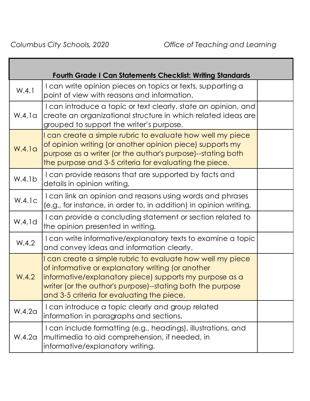|                    | <b>Fourth Grade I Can Statements Checklist: Writing Standards</b>                                                                                                                                                                                                                      |  |
|--------------------|----------------------------------------------------------------------------------------------------------------------------------------------------------------------------------------------------------------------------------------------------------------------------------------|--|
| W.4.1              | I can write opinion pieces on topics or texts, supporting a<br>point of view with reasons and information.                                                                                                                                                                             |  |
| W.4.1a             | I can introduce a topic or text clearly, state an opinion, and<br>create an organizational structure in which related ideas are<br>grouped to support the writer's purpose.                                                                                                            |  |
| W.4.1 <sub>G</sub> | I can create a simple rubric to evaluate how well my piece<br>of opinion writing (or another opinion piece) supports my<br>purpose as a writer (or the author's purpose)--stating both<br>the purpose and 3-5 criteria for evaluating the piece.                                       |  |
| W.4.1b             | I can provide reasons that are supported by facts and<br>details in opinion writing.                                                                                                                                                                                                   |  |
| W.4.1c             | I can link an opinion and reasons using words and phrases<br>(e.g., for instance, in order to, in addition) in opinion writing.                                                                                                                                                        |  |
| W.4.1d             | I can provide a concluding statement or section related to<br>the opinion presented in writing.                                                                                                                                                                                        |  |
| W.4.2              | I can write informative/explanatory texts to examine a topic<br>and convey ideas and information clearly.                                                                                                                                                                              |  |
| W.4.2              | I can create a simple rubric to evaluate how well my piece<br>of informative or explanatory writing (or another<br>informative/explanatory piece) supports my purpose as a<br>writer (or the author's purpose)--stating both the purpose<br>and 3-5 criteria for evaluating the piece. |  |
| W.4.2a             | I can introduce a topic clearly and group related<br>information in paragraphs and sections.                                                                                                                                                                                           |  |
| W.4.2a             | I can include formatting (e.g., headings), illustrations, and<br>multimedia to aid comprehension, if needed, in<br>informative/explanatory writing.                                                                                                                                    |  |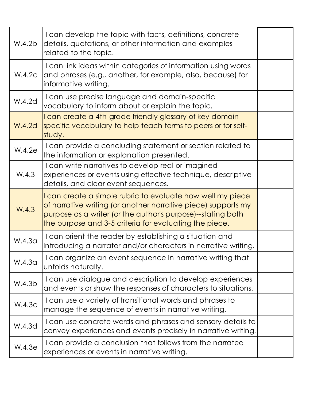| W.4.2b             | I can develop the topic with facts, definitions, concrete<br>details, quotations, or other information and examples<br>related to the topic.                                                                                                         |  |
|--------------------|------------------------------------------------------------------------------------------------------------------------------------------------------------------------------------------------------------------------------------------------------|--|
| W.4.2c             | I can link ideas within categories of information using words<br>and phrases (e.g., another, for example, also, because) for<br>informative writing.                                                                                                 |  |
| W.4.2d             | I can use precise language and domain-specific<br>vocabulary to inform about or explain the topic.                                                                                                                                                   |  |
| <b>W.4.2d</b>      | I can create a 4th-grade friendly glossary of key domain-<br>specific vocabulary to help teach terms to peers or for self-<br>study.                                                                                                                 |  |
| W.4.2e             | I can provide a concluding statement or section related to<br>the information or explanation presented.                                                                                                                                              |  |
| W.4.3              | I can write narratives to develop real or imagined<br>experiences or events using effective technique, descriptive<br>details, and clear event sequences.                                                                                            |  |
| W.4.3              | I can create a simple rubric to evaluate how well my piece<br>of narrative writing (or another narrative piece) supports my<br>purpose as a writer (or the author's purpose)--stating both<br>the purpose and 3-5 criteria for evaluating the piece. |  |
| W.4.3 <sub>G</sub> | I can orient the reader by establishing a situation and<br>introducing a narrator and/or characters in narrative writing.                                                                                                                            |  |
| W.4.3 <sub>G</sub> | I can organize an event sequence in narrative writing that<br>unfolds naturally.                                                                                                                                                                     |  |
| W.4.3b             | I can use dialogue and description to develop experiences<br>and events or show the responses of characters to situations.                                                                                                                           |  |
| W.4.3c             | I can use a variety of transitional words and phrases to<br>manage the sequence of events in narrative writing.                                                                                                                                      |  |
| W.4.3d             | I can use concrete words and phrases and sensory details to<br>convey experiences and events precisely in narrative writing.                                                                                                                         |  |
| W.4.3e             | I can provide a conclusion that follows from the narrated<br>experiences or events in narrative writing.                                                                                                                                             |  |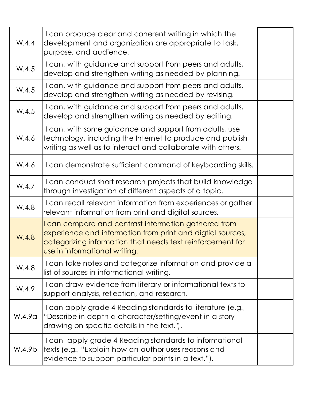| W.4.4  | I can produce clear and coherent writing in which the<br>development and organization are appropriate to task,<br>purpose, and audience.                                                                          |  |
|--------|-------------------------------------------------------------------------------------------------------------------------------------------------------------------------------------------------------------------|--|
| W.4.5  | I can, with guidance and support from peers and adults,<br>develop and strengthen writing as needed by planning.                                                                                                  |  |
| W.4.5  | I can, with guidance and support from peers and adults,<br>develop and strengthen writing as needed by revising.                                                                                                  |  |
| W.4.5  | I can, with guidance and support from peers and adults,<br>develop and strengthen writing as needed by editing.                                                                                                   |  |
| W.4.6  | I can, with some guidance and support from adults, use<br>technology, including the Internet to produce and publish<br>writing as well as to interact and collaborate with others.                                |  |
| W.4.6  | I can demonstrate sufficient command of keyboarding skills.                                                                                                                                                       |  |
| W.4.7  | I can conduct short research projects that build knowledge<br>through investigation of different aspects of a topic.                                                                                              |  |
| W.4.8  | I can recall relevant information from experiences or gather<br>relevant information from print and digital sources.                                                                                              |  |
| W.4.8  | I can compare and contrast information gathered from<br>experience and information from print and digtial sources,<br>categorizing information that needs text reinforcement for<br>use in informational writing. |  |
| W.4.8  | I can take notes and categorize information and provide a<br>list of sources in informational writing.                                                                                                            |  |
| W.4.9  | I can draw evidence from literary or informational texts to<br>support analysis, reflection, and research.                                                                                                        |  |
| W.4.9a | I can apply grade 4 Reading standards to literature (e.g.,<br>"Describe in depth a character/setting/event in a story<br>drawing on specific details in the text.").                                              |  |
| W.4.9b | I can apply grade 4 Reading standards to informational<br>texts (e.g., "Explain how an author uses reasons and<br>evidence to support particular points in a text.").                                             |  |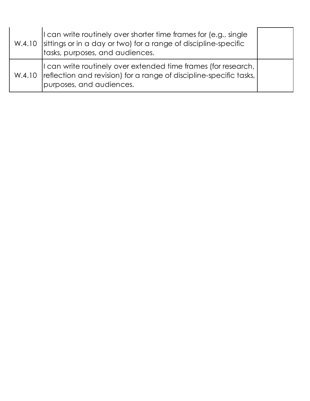| I can write routinely over shorter time frames for (e.g., single<br>W.4.10 sittings or in a day or two) for a range of discipline-specific<br>tasks, purposes, and audiences. |  |
|-------------------------------------------------------------------------------------------------------------------------------------------------------------------------------|--|
| I can write routinely over extended time frames (for research,  <br>W.4.10   reflection and revision) for a range of discipline-specific tasks,  <br>purposes, and audiences. |  |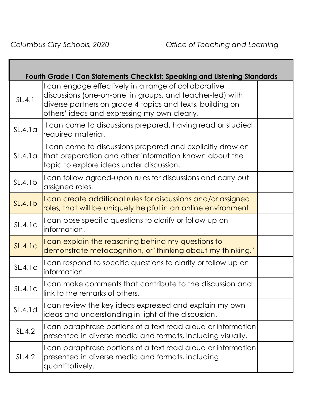**The Co** 

| <b>Fourth Grade I Can Statements Checklist: Speaking and Listening Standards</b> |                                                                                                                                                                                                                                |  |
|----------------------------------------------------------------------------------|--------------------------------------------------------------------------------------------------------------------------------------------------------------------------------------------------------------------------------|--|
| SL.4.1                                                                           | I can engage effectively in a range of collaborative<br>discussions (one-on-one, in groups, and teacher-led) with<br>diverse partners on grade 4 topics and texts, building on<br>others' ideas and expressing my own clearly. |  |
| SL.4.1a                                                                          | I can come to discussions prepared, having read or studied<br>required material.                                                                                                                                               |  |
| SL.4.1a                                                                          | I can come to discussions prepared and explicitly draw on<br>that preparation and other information known about the<br>topic to explore ideas under discussion.                                                                |  |
| SL.4.1b                                                                          | I can follow agreed-upon rules for discussions and carry out<br>assigned roles.                                                                                                                                                |  |
| SL.4.1b                                                                          | I can create additional rules for discussions and/or assigned<br>roles, that will be uniquely helpful in an online environment.                                                                                                |  |
| SL.4.1c                                                                          | I can pose specific questions to clarify or follow up on<br>information.                                                                                                                                                       |  |
| SL.4.1c                                                                          | I can explain the reasoning behind my questions to<br>demonstrate metacognition, or "thinking about my thinking."                                                                                                              |  |
| SL.4.1c                                                                          | I can respond to specific questions to clarify or follow up on<br>information.                                                                                                                                                 |  |
| SL.4.1c                                                                          | I can make comments that contribute to the discussion and<br>link to the remarks of others.                                                                                                                                    |  |
| SL.4.1d                                                                          | I can review the key ideas expressed and explain my own<br>ideas and understanding in light of the discussion.                                                                                                                 |  |
| SL.4.2                                                                           | I can paraphrase portions of a text read aloud or information<br>presented in diverse media and formats, including visually.                                                                                                   |  |
| SL.4.2                                                                           | I can paraphrase portions of a text read aloud or information<br>presented in diverse media and formats, including<br>quantitatively.                                                                                          |  |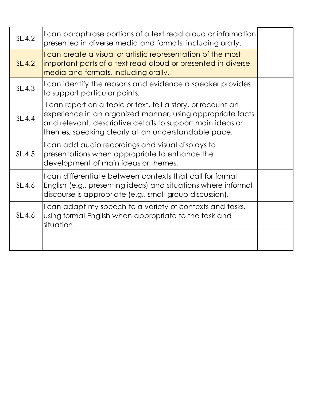| SL.4.2        | I can paraphrase portions of a text read aloud or information<br>presented in diverse media and formats, including orally.                                                                                                                      |  |
|---------------|-------------------------------------------------------------------------------------------------------------------------------------------------------------------------------------------------------------------------------------------------|--|
| <b>SL.4.2</b> | I can create a visual or artistic representation of the most<br>important parts of a text read aloud or presented in diverse<br>media and formats, including orally.                                                                            |  |
| SL.4.3        | I can identify the reasons and evidence a speaker provides<br>to support particular points.                                                                                                                                                     |  |
| SL.4.4        | I can report on a topic or text, tell a story, or recount an<br>experience in an organized manner, using appropriate facts<br>and relevant, descriptive details to support main ideas or<br>themes, speaking clearly at an understandable pace. |  |
| SL.4.5        | I can add audio recordings and visual displays to<br>presentations when appropriate to enhance the<br>development of main ideas or themes.                                                                                                      |  |
| SL.4.6        | I can differentiate between contexts that call for formal<br>English (e.g., presenting ideas) and situations where informal<br>discourse is appropriate (e.g., small-group discussion).                                                         |  |
| SL.4.6        | I can adapt my speech to a variety of contexts and tasks,<br>using formal English when appropriate to the task and<br>situation.                                                                                                                |  |
|               |                                                                                                                                                                                                                                                 |  |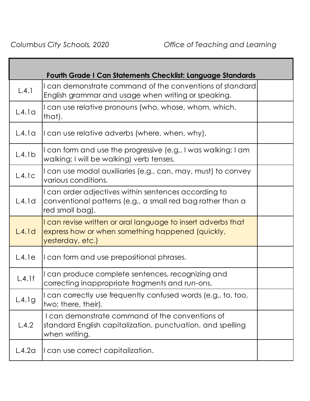|        | <b>Fourth Grade I Can Statements Checklist: Language Standards</b>                                                                    |  |
|--------|---------------------------------------------------------------------------------------------------------------------------------------|--|
| L.4.1  | I can demonstrate command of the conventions of standard<br>English grammar and usage when writing or speaking.                       |  |
| L.4.1a | I can use relative pronouns (who, whose, whom, which,<br>that).                                                                       |  |
| L.4.1a | I can use relative adverbs (where, when, why).                                                                                        |  |
| L.4.1b | I can form and use the progressive (e.g., I was walking; I am<br>walking; I will be walking) verb tenses.                             |  |
| L.4.1c | I can use modal auxiliaries (e.g., can, may, must) to convey<br>various conditions.                                                   |  |
| L.4.1d | I can order adjectives within sentences according to<br>conventional patterns (e.g., a small red bag rather than a<br>red small bag). |  |
| L.4.1d | I can revise written or oral language to insert adverbs that<br>express how or when something happened (quickly,<br>yesterday, etc.)  |  |
| L.4.1e | I can form and use prepositional phrases.                                                                                             |  |
| L.4.1f | I can produce complete sentences, recognizing and<br>correcting inappropriate fragments and run-ons.                                  |  |
| L.4.1g | I can correctly use frequently confused words (e.g., to, too,<br>two; there, their).                                                  |  |
| L.4.2  | I can demonstrate command of the conventions of<br>standard English capitalization, punctuation, and spelling<br>when writing.        |  |
| L.4.2a | I can use correct capitalization.                                                                                                     |  |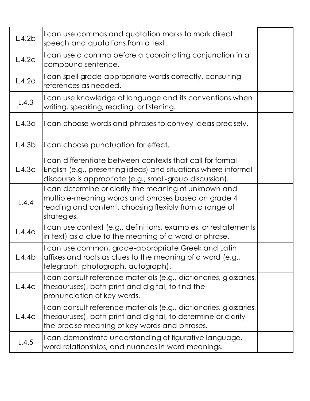| L.4.2b             | I can use commas and quotation marks to mark direct<br>speech and quotations from a text.                                                                                               |  |
|--------------------|-----------------------------------------------------------------------------------------------------------------------------------------------------------------------------------------|--|
| L.4.2c             | I can use a comma before a coordinating conjunction in a<br>compound sentence.                                                                                                          |  |
| L.4.2d             | I can spell grade-appropriate words correctly, consulting<br>references as needed.                                                                                                      |  |
| L.4.3              | I can use knowledge of language and its conventions when<br>writing, speaking, reading, or listening.                                                                                   |  |
| L.4.3 <sub>G</sub> | I can choose words and phrases to convey ideas precisely.                                                                                                                               |  |
| L.4.3 <sub>b</sub> | I can choose punctuation for effect.                                                                                                                                                    |  |
| L.4.3c             | I can differentiate between contexts that call for formal<br>English (e.g., presenting ideas) and situations where informal<br>discourse is appropriate (e.g., small-group discussion). |  |
| L.4.4              | I can determine or clarify the meaning of unknown and<br>multiple-meaning words and phrases based on grade 4<br>reading and content, choosing flexibly from a range of<br>strategies.   |  |
| L.4.4 <sub>G</sub> | I can use context (e.g., definitions, examples, or restatements<br>in text) as a clue to the meaning of a word or phrase.                                                               |  |
| L.4.4b             | I can use common, grade-appropriate Greek and Latin<br>affixes and roots as clues to the meaning of a word (e.g.,<br>telegraph, photograph, autograph).                                 |  |
| L.4.4c             | I can consult reference materials (e.g., dictionaries, glossaries,<br>thesauruses), both print and digital, to find the<br>pronunciation of key words.                                  |  |
| L.4.4c             | I can consult reference materials (e.g., dictionaries, glossaries,<br>thesauruses), both print and digital, to determine or clarify<br>the precise meaning of key words and phrases.    |  |
| L.4.5              | I can demonstrate understanding of figurative language,<br>word relationships, and nuances in word meanings.                                                                            |  |